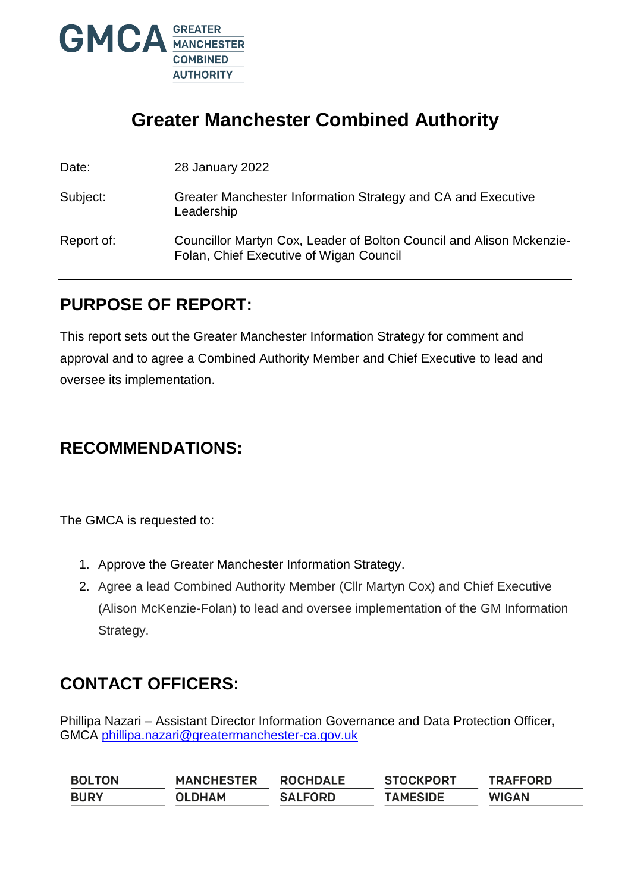

# **Greater Manchester Combined Authority**

Date: 28 January 2022

Subject: Greater Manchester Information Strategy and CA and Executive Leadership Report of: Councillor Martyn Cox, Leader of Bolton Council and Alison Mckenzie-Folan, Chief Executive of Wigan Council

# **PURPOSE OF REPORT:**

This report sets out the Greater Manchester Information Strategy for comment and approval and to agree a Combined Authority Member and Chief Executive to lead and oversee its implementation.

# **RECOMMENDATIONS:**

The GMCA is requested to:

- 1. Approve the Greater Manchester Information Strategy.
- 2. Agree a lead Combined Authority Member (Cllr Martyn Cox) and Chief Executive (Alison McKenzie-Folan) to lead and oversee implementation of the GM Information Strategy.

# **CONTACT OFFICERS:**

Phillipa Nazari – Assistant Director Information Governance and Data Protection Officer, GMCA [phillipa.nazari@greatermanchester-ca.gov.uk](mailto:phillipa.nazari@greatermanchester-ca.gov.uk)

| <b>BOLTON</b> | <b>MANCHESTER</b> | <b>ROCHDALE</b> | <b>STOCKPORT</b> | <b>TRAFFORD</b> |
|---------------|-------------------|-----------------|------------------|-----------------|
| <b>BURY</b>   | <b>OLDHAM</b>     | <b>SALFORD</b>  | <b>TAMESIDE</b>  | <b>WIGAN</b>    |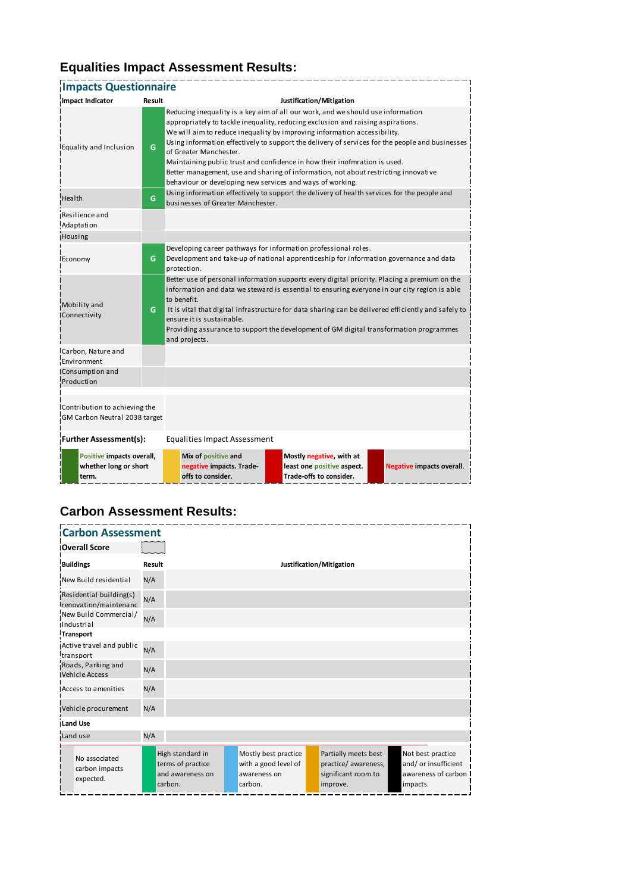# **Equalities Impact Assessment Results:**

| <b>Impacts Questionnaire</b>                                         |        |                                                                                                                                                                                                                                                                                                                                                                                                                                                                                                                                                                                                              |  |  |  |  |
|----------------------------------------------------------------------|--------|--------------------------------------------------------------------------------------------------------------------------------------------------------------------------------------------------------------------------------------------------------------------------------------------------------------------------------------------------------------------------------------------------------------------------------------------------------------------------------------------------------------------------------------------------------------------------------------------------------------|--|--|--|--|
| <b>Impact Indicator</b>                                              | Result | Justification/Mitigation                                                                                                                                                                                                                                                                                                                                                                                                                                                                                                                                                                                     |  |  |  |  |
| Equality and Inclusion                                               | G      | Reducing inequality is a key aim of all our work, and we should use information<br>appropriately to tackle inequality, reducing exclusion and raising aspirations.<br>We will aim to reduce inequality by improving information accessibility.<br>Using information effectively to support the delivery of services for the people and businesses<br>of Greater Manchester.<br>Maintaining public trust and confidence in how their inofmration is used.<br>Better management, use and sharing of information, not about restricting innovative<br>behaviour or developing new services and ways of working. |  |  |  |  |
| Health                                                               | G      | Using information effectively to support the delivery of health services for the people and<br>businesses of Greater Manchester.                                                                                                                                                                                                                                                                                                                                                                                                                                                                             |  |  |  |  |
| Resilience and<br>Adaptation                                         |        |                                                                                                                                                                                                                                                                                                                                                                                                                                                                                                                                                                                                              |  |  |  |  |
| Housing                                                              |        |                                                                                                                                                                                                                                                                                                                                                                                                                                                                                                                                                                                                              |  |  |  |  |
| Economy                                                              | G      | Developing career pathways for information professional roles.<br>Development and take-up of national apprenticeship for information governance and data<br>protection.                                                                                                                                                                                                                                                                                                                                                                                                                                      |  |  |  |  |
| Mobility and<br>Connectivity                                         | G      | Better use of personal information supports every digital priority. Placing a premium on the<br>information and data we steward is essential to ensuring everyone in our city region is able<br>to benefit.<br>It is vital that digital infrastructure for data sharing can be delivered efficiently and safely to<br>ensure it is sustainable.<br>Providing assurance to support the development of GM digital transformation programmes<br>and projects.                                                                                                                                                   |  |  |  |  |
| Carbon, Nature and<br>Environment                                    |        |                                                                                                                                                                                                                                                                                                                                                                                                                                                                                                                                                                                                              |  |  |  |  |
| Consumption and<br>Production                                        |        |                                                                                                                                                                                                                                                                                                                                                                                                                                                                                                                                                                                                              |  |  |  |  |
| Contribution to achieving the<br>GM Carbon Neutral 2038 target       |        |                                                                                                                                                                                                                                                                                                                                                                                                                                                                                                                                                                                                              |  |  |  |  |
| <b>Further Assessment(s):</b><br><b>Equalities Impact Assessment</b> |        |                                                                                                                                                                                                                                                                                                                                                                                                                                                                                                                                                                                                              |  |  |  |  |
| Positive impacts overall,<br>whether long or short<br>term.          |        | Mix of positive and<br>Mostly negative, with at<br>least one positive aspect.<br>negative impacts. Trade-<br><b>Negative impacts overall.</b><br>offs to consider.<br>Trade-offs to consider.                                                                                                                                                                                                                                                                                                                                                                                                                |  |  |  |  |

# **Carbon Assessment Results:**

| <b>Carbon Assessment</b>                         |        |                                                                      |                          |                                                                         |  |                                                                                 |  |                                                                              |
|--------------------------------------------------|--------|----------------------------------------------------------------------|--------------------------|-------------------------------------------------------------------------|--|---------------------------------------------------------------------------------|--|------------------------------------------------------------------------------|
|                                                  |        |                                                                      |                          |                                                                         |  |                                                                                 |  |                                                                              |
| <b>Overall Score</b>                             |        |                                                                      |                          |                                                                         |  |                                                                                 |  |                                                                              |
| <b>Buildings</b>                                 | Result |                                                                      | Justification/Mitigation |                                                                         |  |                                                                                 |  |                                                                              |
| New Build residential                            | N/A    |                                                                      |                          |                                                                         |  |                                                                                 |  |                                                                              |
| Residential building(s)<br>renovation/maintenanc | N/A    |                                                                      |                          |                                                                         |  |                                                                                 |  |                                                                              |
| New Build Commercial/<br><b>IIndustrial</b>      | N/A    |                                                                      |                          |                                                                         |  |                                                                                 |  |                                                                              |
| Transport                                        |        |                                                                      |                          |                                                                         |  |                                                                                 |  |                                                                              |
| Active travel and public<br>transport            | N/A    |                                                                      |                          |                                                                         |  |                                                                                 |  |                                                                              |
| Roads, Parking and<br>Vehicle Access             | N/A    |                                                                      |                          |                                                                         |  |                                                                                 |  |                                                                              |
| Access to amenities                              | N/A    |                                                                      |                          |                                                                         |  |                                                                                 |  |                                                                              |
| Vehicle procurement                              | N/A    |                                                                      |                          |                                                                         |  |                                                                                 |  |                                                                              |
| Land Use                                         |        |                                                                      |                          |                                                                         |  |                                                                                 |  |                                                                              |
| Land use                                         | N/A    |                                                                      |                          |                                                                         |  |                                                                                 |  |                                                                              |
| No associated<br>carbon impacts<br>expected.     |        | High standard in<br>terms of practice<br>and awareness on<br>carbon. |                          | Mostly best practice<br>with a good level of<br>awareness on<br>carbon. |  | Partially meets best<br>practice/ awareness,<br>significant room to<br>improve. |  | Not best practice<br>and/ or insufficient<br>awareness of carbon<br>impacts. |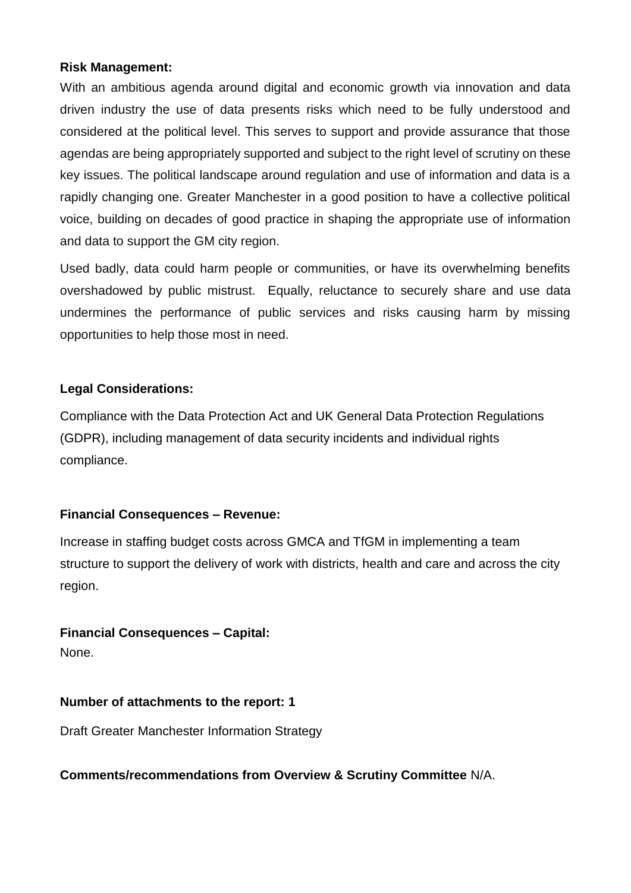#### **Risk Management:**

With an ambitious agenda around digital and economic growth via innovation and data driven industry the use of data presents risks which need to be fully understood and considered at the political level. This serves to support and provide assurance that those agendas are being appropriately supported and subject to the right level of scrutiny on these key issues. The political landscape around regulation and use of information and data is a rapidly changing one. Greater Manchester in a good position to have a collective political voice, building on decades of good practice in shaping the appropriate use of information and data to support the GM city region.

Used badly, data could harm people or communities, or have its overwhelming benefits overshadowed by public mistrust. Equally, reluctance to securely share and use data undermines the performance of public services and risks causing harm by missing opportunities to help those most in need.

## **Legal Considerations:**

Compliance with the Data Protection Act and UK General Data Protection Regulations (GDPR), including management of data security incidents and individual rights compliance.

## **Financial Consequences – Revenue:**

Increase in staffing budget costs across GMCA and TfGM in implementing a team structure to support the delivery of work with districts, health and care and across the city region.

# **Financial Consequences – Capital:**

None.

## **Number of attachments to the report: 1**

Draft Greater Manchester Information Strategy

**Comments/recommendations from Overview & Scrutiny Committee** N/A.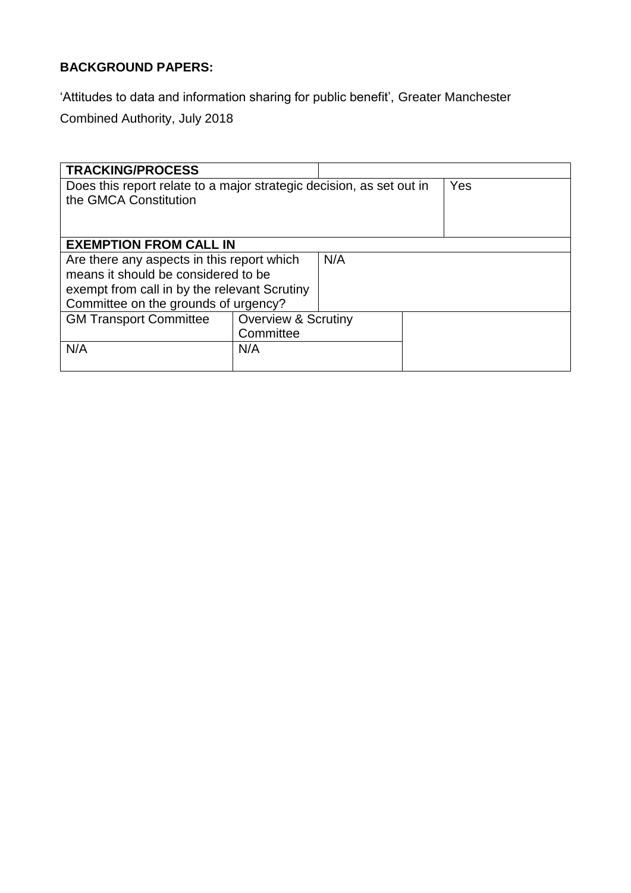# **BACKGROUND PAPERS:**

'Attitudes to data and information sharing for public benefit', Greater Manchester

Combined Authority, July 2018

| <b>TRACKING/PROCESS</b>                                              |                                |     |     |
|----------------------------------------------------------------------|--------------------------------|-----|-----|
| Does this report relate to a major strategic decision, as set out in |                                |     | Yes |
| the GMCA Constitution                                                |                                |     |     |
|                                                                      |                                |     |     |
|                                                                      |                                |     |     |
| <b>EXEMPTION FROM CALL IN</b>                                        |                                |     |     |
| Are there any aspects in this report which                           |                                | N/A |     |
| means it should be considered to be                                  |                                |     |     |
| exempt from call in by the relevant Scrutiny                         |                                |     |     |
| Committee on the grounds of urgency?                                 |                                |     |     |
| <b>GM Transport Committee</b>                                        | <b>Overview &amp; Scrutiny</b> |     |     |
| Committee                                                            |                                |     |     |
| N/A<br>N/A                                                           |                                |     |     |
|                                                                      |                                |     |     |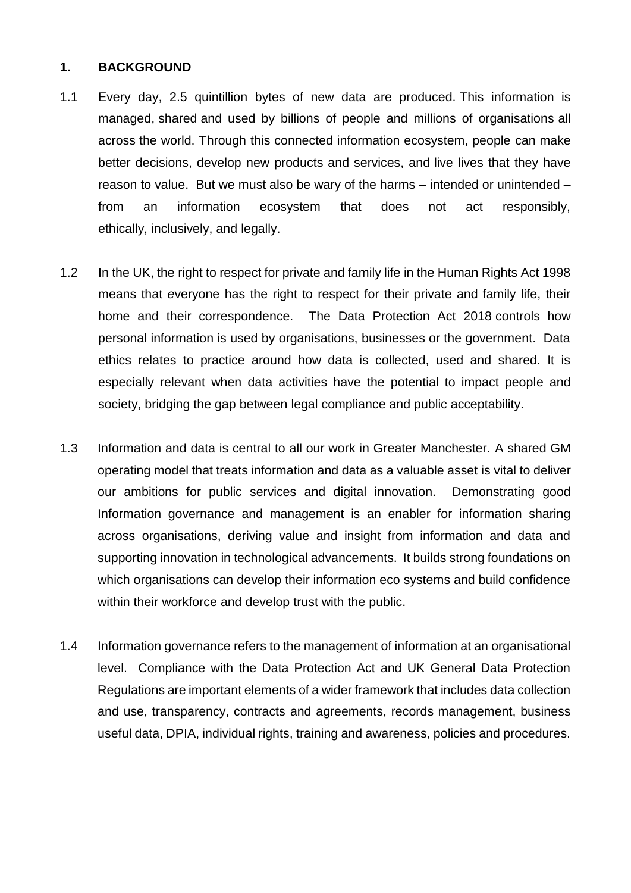### **1. BACKGROUND**

- 1.1 Every day, 2.5 quintillion bytes of new data are produced. This information is managed, shared and used by billions of people and millions of organisations all across the world. Through this connected information ecosystem, people can make better decisions, develop new products and services, and live lives that they have reason to value. But we must also be wary of the harms – intended or unintended – from an information ecosystem that does not act responsibly, ethically, inclusively, and legally.
- 1.2 In the UK, the right to respect for private and family life in the Human Rights Act 1998 means that *e*veryone has the right to respect for their private and family life, their home and their correspondence. The Data Protection Act 2018 controls how personal information is used by organisations, businesses or the government. Data ethics relates to practice around how data is collected, used and shared. It is especially relevant when data activities have the potential to impact people and society, bridging the gap between legal compliance and public acceptability.
- 1.3 Information and data is central to all our work in Greater Manchester. A shared GM operating model that treats information and data as a valuable asset is vital to deliver our ambitions for public services and digital innovation. Demonstrating good Information governance and management is an enabler for information sharing across organisations, deriving value and insight from information and data and supporting innovation in technological advancements. It builds strong foundations on which organisations can develop their information eco systems and build confidence within their workforce and develop trust with the public.
- 1.4 Information governance refers to the management of information at an organisational level. Compliance with the Data Protection Act and UK General Data Protection Regulations are important elements of a wider framework that includes data collection and use, transparency, contracts and agreements, records management, business useful data, DPIA, individual rights, training and awareness, policies and procedures.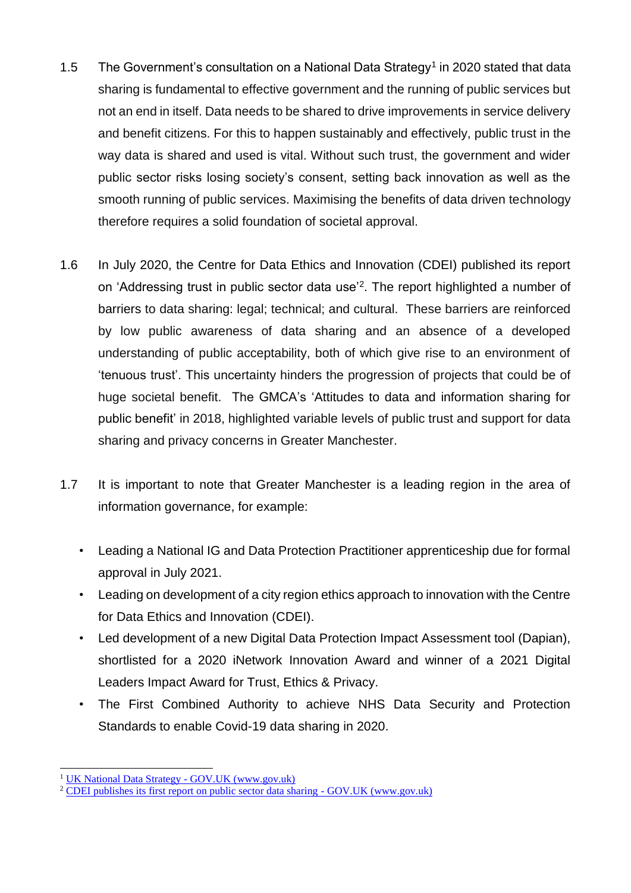- 1.5 The Government's consultation on a National Data Strategy<sup>1</sup> in 2020 stated that data sharing is fundamental to effective government and the running of public services but not an end in itself. Data needs to be shared to drive improvements in service delivery and benefit citizens. For this to happen sustainably and effectively, public trust in the way data is shared and used is vital. Without such trust, the government and wider public sector risks losing society's consent, setting back innovation as well as the smooth running of public services. Maximising the benefits of data driven technology therefore requires a solid foundation of societal approval.
- 1.6 In July 2020, the Centre for Data Ethics and Innovation (CDEI) published its report on 'Addressing trust in public sector data use'<sup>2</sup> . The report highlighted a number of barriers to data sharing: legal; technical; and cultural. These barriers are reinforced by low public awareness of data sharing and an absence of a developed understanding of public acceptability, both of which give rise to an environment of 'tenuous trust'. This uncertainty hinders the progression of projects that could be of huge societal benefit. The GMCA's 'Attitudes to data and information sharing for public benefit' in 2018, highlighted variable levels of public trust and support for data sharing and privacy concerns in Greater Manchester.
- 1.7 It is important to note that Greater Manchester is a leading region in the area of information governance, for example:
	- Leading a National IG and Data Protection Practitioner apprenticeship due for formal approval in July 2021.
	- Leading on development of a city region ethics approach to innovation with the Centre for Data Ethics and Innovation (CDEI).
	- Led development of a new Digital Data Protection Impact Assessment tool (Dapian), shortlisted for a 2020 iNetwork Innovation Award and winner of a 2021 Digital Leaders Impact Award for Trust, Ethics & Privacy.
	- The First Combined Authority to achieve NHS Data Security and Protection Standards to enable Covid-19 data sharing in 2020.

1

<sup>1</sup> [UK National Data Strategy -](https://www.gov.uk/government/publications/uk-national-data-strategy) GOV.UK (www.gov.uk)

<sup>&</sup>lt;sup>2</sup> [CDEI publishes its first report on public sector data sharing -](https://www.gov.uk/government/publications/cdei-publishes-its-first-report-on-public-sector-data-sharing) GOV.UK (www.gov.uk)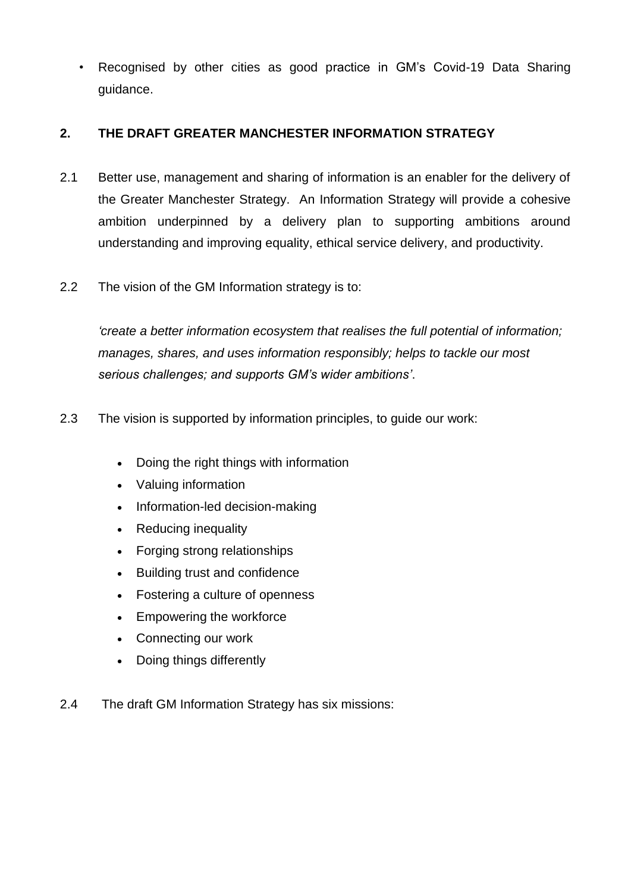• Recognised by other cities as good practice in GM's Covid-19 Data Sharing guidance.

# **2. THE DRAFT GREATER MANCHESTER INFORMATION STRATEGY**

- 2.1 Better use, management and sharing of information is an enabler for the delivery of the Greater Manchester Strategy. An Information Strategy will provide a cohesive ambition underpinned by a delivery plan to supporting ambitions around understanding and improving equality, ethical service delivery, and productivity.
- 2.2 The vision of the GM Information strategy is to:

*'create a better information ecosystem that realises the full potential of information; manages, shares, and uses information responsibly; helps to tackle our most serious challenges; and supports GM's wider ambitions'*.

- 2.3 The vision is supported by information principles, to guide our work:
	- Doing the right things with information
	- Valuing information
	- Information-led decision-making
	- Reducing inequality
	- Forging strong relationships
	- Building trust and confidence
	- Fostering a culture of openness
	- Empowering the workforce
	- Connecting our work
	- Doing things differently
- 2.4 The draft GM Information Strategy has six missions: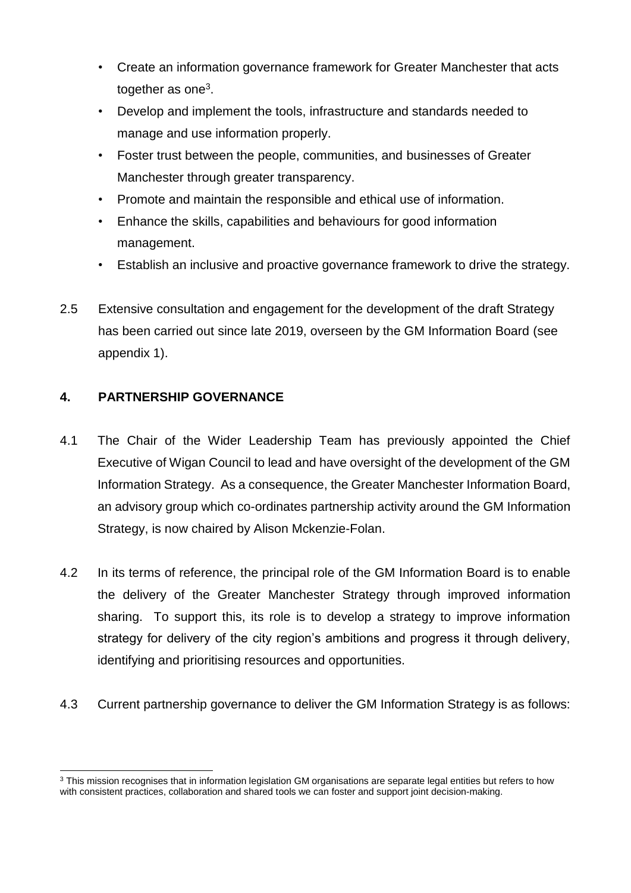- Create an information governance framework for Greater Manchester that acts together as one<sup>3</sup>.
- Develop and implement the tools, infrastructure and standards needed to manage and use information properly.
- Foster trust between the people, communities, and businesses of Greater Manchester through greater transparency.
- Promote and maintain the responsible and ethical use of information.
- Enhance the skills, capabilities and behaviours for good information management.
- Establish an inclusive and proactive governance framework to drive the strategy.
- 2.5 Extensive consultation and engagement for the development of the draft Strategy has been carried out since late 2019, overseen by the GM Information Board (see appendix 1).

# **4. PARTNERSHIP GOVERNANCE**

- 4.1 The Chair of the Wider Leadership Team has previously appointed the Chief Executive of Wigan Council to lead and have oversight of the development of the GM Information Strategy. As a consequence, the Greater Manchester Information Board, an advisory group which co-ordinates partnership activity around the GM Information Strategy, is now chaired by Alison Mckenzie-Folan.
- 4.2 In its terms of reference, the principal role of the GM Information Board is to enable the delivery of the Greater Manchester Strategy through improved information sharing. To support this, its role is to develop a strategy to improve information strategy for delivery of the city region's ambitions and progress it through delivery, identifying and prioritising resources and opportunities.
- 4.3 Current partnership governance to deliver the GM Information Strategy is as follows:

<sup>1</sup> <sup>3</sup> This mission recognises that in information legislation GM organisations are separate legal entities but refers to how with consistent practices, collaboration and shared tools we can foster and support joint decision-making.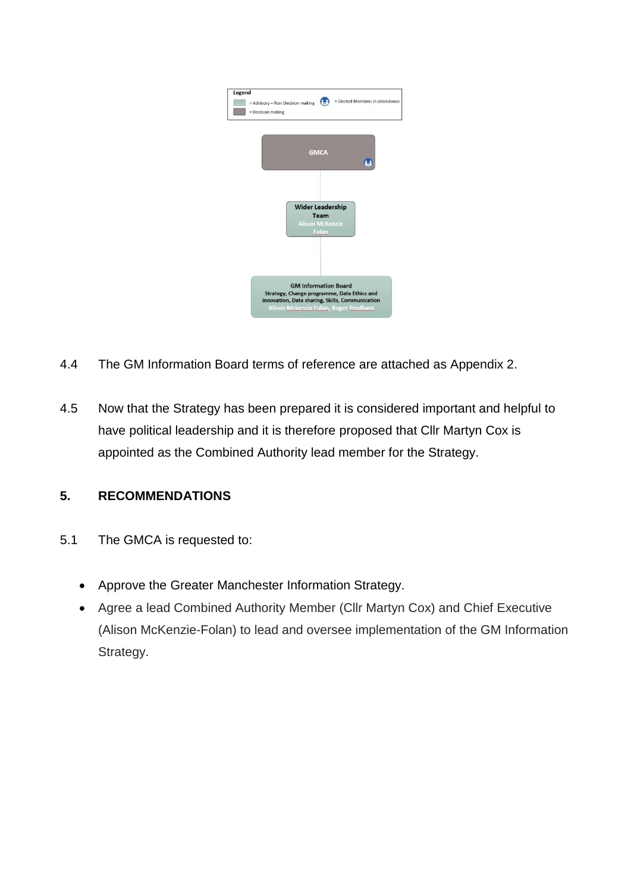

- 4.4 The GM Information Board terms of reference are attached as Appendix 2.
- 4.5 Now that the Strategy has been prepared it is considered important and helpful to have political leadership and it is therefore proposed that Cllr Martyn Cox is appointed as the Combined Authority lead member for the Strategy.

## **5. RECOMMENDATIONS**

- 5.1 The GMCA is requested to:
	- Approve the Greater Manchester Information Strategy.
	- Agree a lead Combined Authority Member (Cllr Martyn Cox) and Chief Executive (Alison McKenzie-Folan) to lead and oversee implementation of the GM Information Strategy.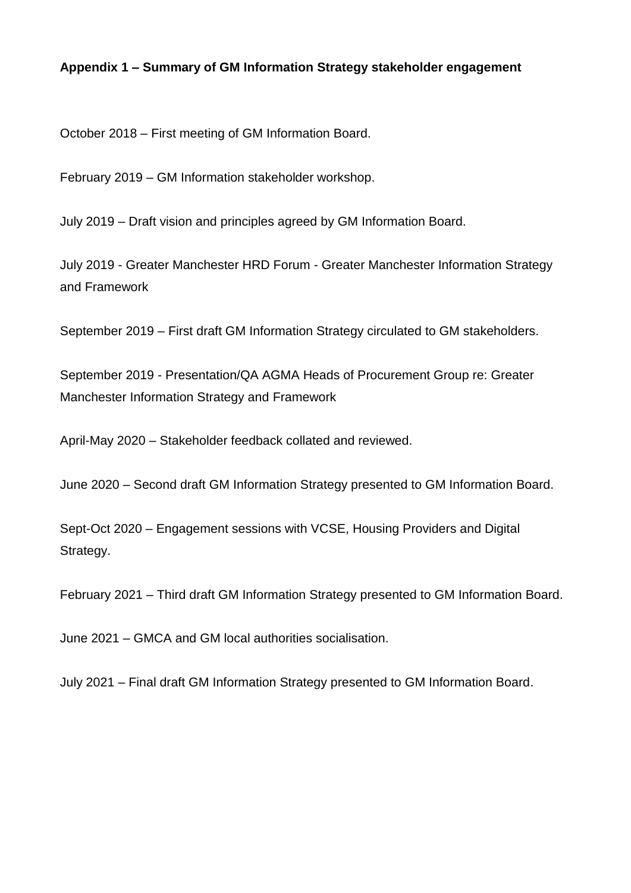#### **Appendix 1 – Summary of GM Information Strategy stakeholder engagement**

October 2018 – First meeting of GM Information Board.

February 2019 – GM Information stakeholder workshop.

July 2019 – Draft vision and principles agreed by GM Information Board.

July 2019 - Greater Manchester HRD Forum - Greater Manchester Information Strategy and Framework

September 2019 – First draft GM Information Strategy circulated to GM stakeholders.

September 2019 - Presentation/QA AGMA Heads of Procurement Group re: Greater Manchester Information Strategy and Framework

April-May 2020 – Stakeholder feedback collated and reviewed.

June 2020 – Second draft GM Information Strategy presented to GM Information Board.

Sept-Oct 2020 – Engagement sessions with VCSE, Housing Providers and Digital Strategy.

February 2021 – Third draft GM Information Strategy presented to GM Information Board.

June 2021 – GMCA and GM local authorities socialisation.

July 2021 – Final draft GM Information Strategy presented to GM Information Board.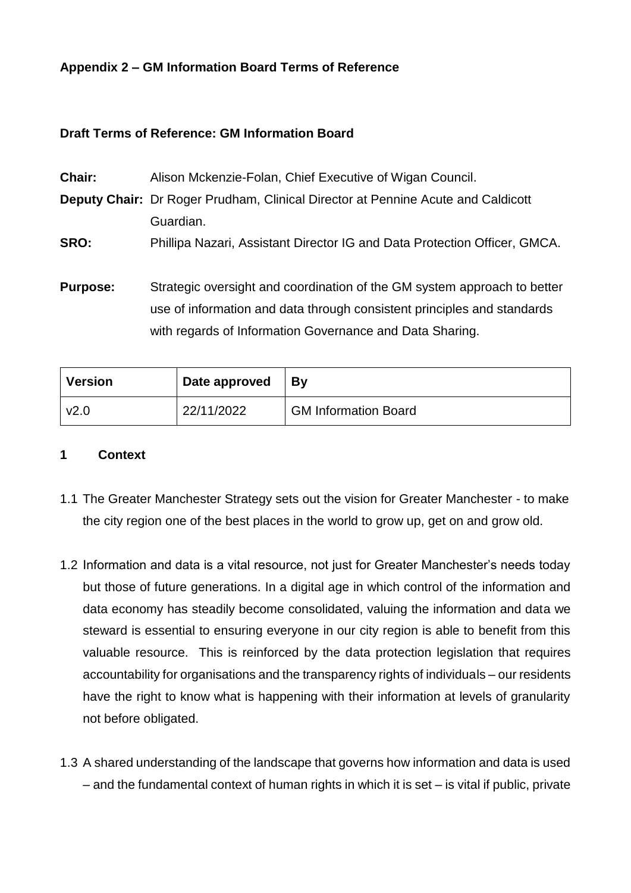# **Appendix 2 – GM Information Board Terms of Reference**

#### **Draft Terms of Reference: GM Information Board**

| Chair:          | Alison Mckenzie-Folan, Chief Executive of Wigan Council.                                |
|-----------------|-----------------------------------------------------------------------------------------|
|                 | <b>Deputy Chair:</b> Dr Roger Prudham, Clinical Director at Pennine Acute and Caldicott |
|                 | Guardian.                                                                               |
| <b>SRO:</b>     | Phillipa Nazari, Assistant Director IG and Data Protection Officer, GMCA.               |
| <b>Purpose:</b> | Strategic oversight and coordination of the GM system approach to better                |
|                 | use of information and data through consistent principles and standards                 |
|                 | with regards of Information Governance and Data Sharing.                                |

| <b>Version</b> | Date approved | Bv                          |
|----------------|---------------|-----------------------------|
| v2.0           | 22/11/2022    | <b>GM Information Board</b> |

#### **1 Context**

- 1.1 The Greater Manchester Strategy sets out the vision for Greater Manchester to make the city region one of the best places in the world to grow up, get on and grow old.
- 1.2 Information and data is a vital resource, not just for Greater Manchester's needs today but those of future generations. In a digital age in which control of the information and data economy has steadily become consolidated, valuing the information and data we steward is essential to ensuring everyone in our city region is able to benefit from this valuable resource. This is reinforced by the data protection legislation that requires accountability for organisations and the transparency rights of individuals – our residents have the right to know what is happening with their information at levels of granularity not before obligated.
- 1.3 A shared understanding of the landscape that governs how information and data is used – and the fundamental context of human rights in which it is set – is vital if public, private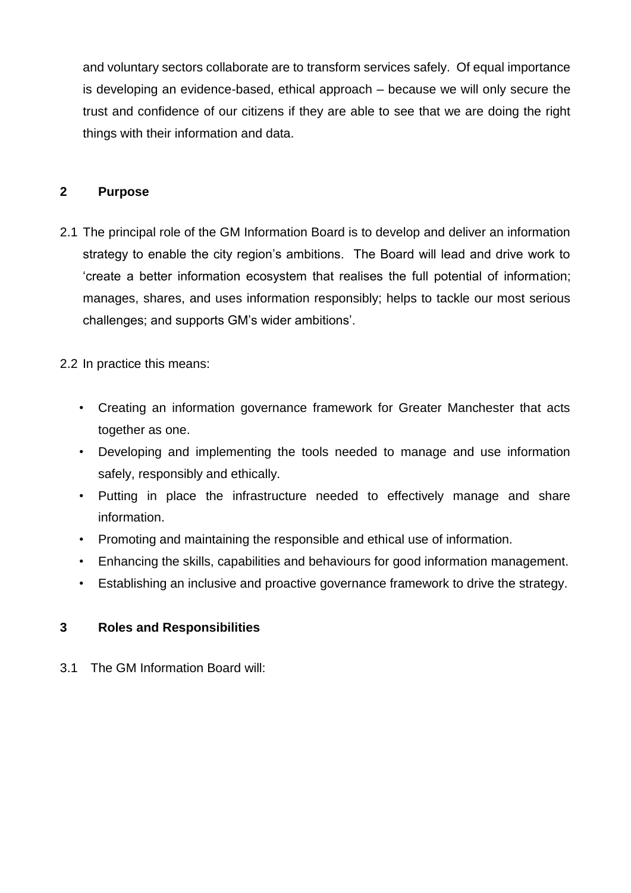and voluntary sectors collaborate are to transform services safely. Of equal importance is developing an evidence-based, ethical approach – because we will only secure the trust and confidence of our citizens if they are able to see that we are doing the right things with their information and data.

### **2 Purpose**

2.1 The principal role of the GM Information Board is to develop and deliver an information strategy to enable the city region's ambitions. The Board will lead and drive work to 'create a better information ecosystem that realises the full potential of information; manages, shares, and uses information responsibly; helps to tackle our most serious challenges; and supports GM's wider ambitions'.

2.2 In practice this means:

- Creating an information governance framework for Greater Manchester that acts together as one.
- Developing and implementing the tools needed to manage and use information safely, responsibly and ethically.
- Putting in place the infrastructure needed to effectively manage and share information.
- Promoting and maintaining the responsible and ethical use of information.
- Enhancing the skills, capabilities and behaviours for good information management.
- Establishing an inclusive and proactive governance framework to drive the strategy.

## **3 Roles and Responsibilities**

3.1 The GM Information Board will: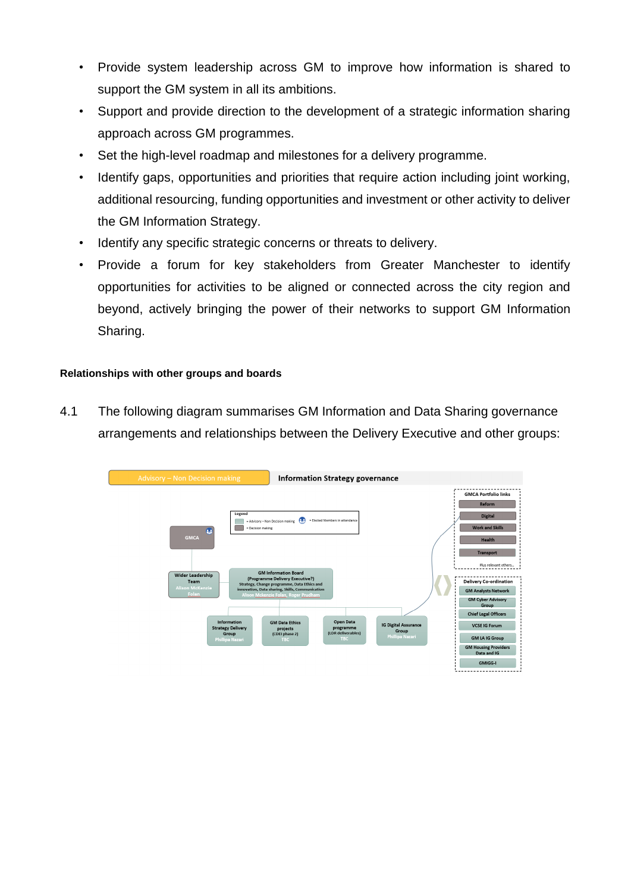- Provide system leadership across GM to improve how information is shared to support the GM system in all its ambitions.
- Support and provide direction to the development of a strategic information sharing approach across GM programmes.
- Set the high-level roadmap and milestones for a delivery programme.
- Identify gaps, opportunities and priorities that require action including joint working, additional resourcing, funding opportunities and investment or other activity to deliver the GM Information Strategy.
- Identify any specific strategic concerns or threats to delivery.
- Provide a forum for key stakeholders from Greater Manchester to identify opportunities for activities to be aligned or connected across the city region and beyond, actively bringing the power of their networks to support GM Information Sharing.

#### **Relationships with other groups and boards**

4.1 The following diagram summarises GM Information and Data Sharing governance arrangements and relationships between the Delivery Executive and other groups:

| Advisory - Non Decision making<br><b>Information Strategy governance</b>                                                                                                                                                                                                                                                                                                                                                                                                                                                                                                                                                                                                                                         |                                                                                                                                                                                                                                                                                                                                                                                                    |
|------------------------------------------------------------------------------------------------------------------------------------------------------------------------------------------------------------------------------------------------------------------------------------------------------------------------------------------------------------------------------------------------------------------------------------------------------------------------------------------------------------------------------------------------------------------------------------------------------------------------------------------------------------------------------------------------------------------|----------------------------------------------------------------------------------------------------------------------------------------------------------------------------------------------------------------------------------------------------------------------------------------------------------------------------------------------------------------------------------------------------|
| Legend<br>= Elected Members in attendance<br>m<br>= Advisory - Non Decision making<br>= Decision making<br>$\bullet$<br><b>GMCA</b><br><b>GM Information Board</b><br><b>Wider Leadership</b><br>(Programme Delivery Executive?)<br><b>Team</b><br>Strategy, Change programme, Data Ethics and<br><b>Alison McKenzie</b><br>innovation, Data sharing, Skills, Communication<br>Folan<br>Alison Mckenzie Folan, Roger Prudham<br><b>Open Data</b><br>Information<br><b>GM Data Ethics</b><br><b>IG Digital Assurance</b><br><b>Strategy Delivery</b><br>programme<br>projects<br>Group<br>(LDR deliverables)<br>Group<br>(CDEI phase 2)<br><b>Phillipa Nazari</b><br><b>TBC</b><br>Phillipa Nazari,<br><b>TBC</b> | <b>GMCA Portfolio links</b><br>Reform<br><b>Digital</b><br><b>Work and Skills</b><br><b>Health</b><br><b>Transport</b><br>Plus relevant others<br><b>Delivery Co-ordination</b><br><b>GM Analysts Network</b><br><b>GM Cyber Advisory</b><br>Group<br><b>Chief Legal Officers</b><br><b>VCSE IG Forum</b><br><b>GM LA IG Group</b><br><b>GM Housing Providers</b><br>Data and IG<br><b>GMIGG-I</b> |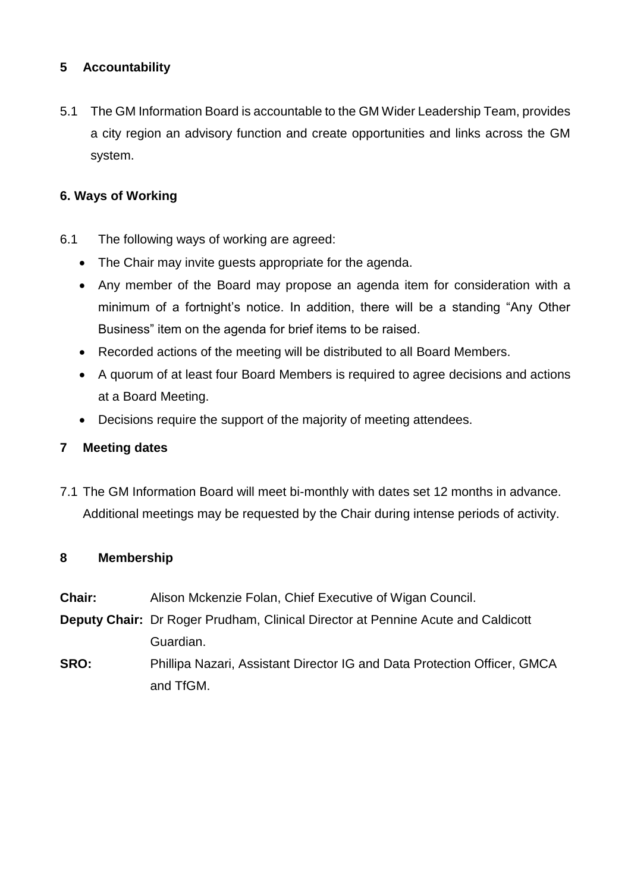# **5 Accountability**

5.1 The GM Information Board is accountable to the GM Wider Leadership Team, provides a city region an advisory function and create opportunities and links across the GM system.

# **6. Ways of Working**

- 6.1 The following ways of working are agreed:
	- The Chair may invite guests appropriate for the agenda.
	- Any member of the Board may propose an agenda item for consideration with a minimum of a fortnight's notice. In addition, there will be a standing "Any Other Business" item on the agenda for brief items to be raised.
	- Recorded actions of the meeting will be distributed to all Board Members.
	- A quorum of at least four Board Members is required to agree decisions and actions at a Board Meeting.
	- Decisions require the support of the majority of meeting attendees.

## **7 Meeting dates**

7.1 The GM Information Board will meet bi-monthly with dates set 12 months in advance. Additional meetings may be requested by the Chair during intense periods of activity.

## **8 Membership**

- **Chair:** Alison Mckenzie Folan, Chief Executive of Wigan Council.
- **Deputy Chair:** Dr Roger Prudham, Clinical Director at Pennine Acute and Caldicott Guardian.
- **SRO:** Phillipa Nazari, Assistant Director IG and Data Protection Officer, GMCA and TfGM.